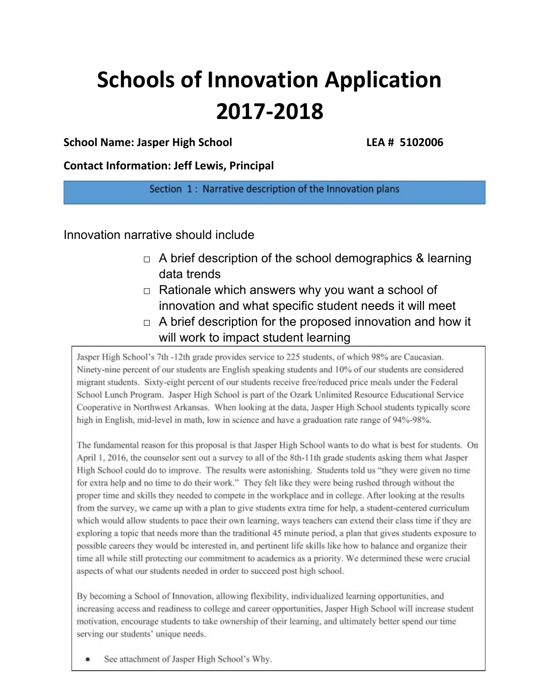# **Schools of Innovation Application 2017-2018**

# **School Name: Jasper High School LEA # 5102006**

**Contact Information: Jeff Lewis, Principal**

Section 1: Narrative description of the Innovation plans

Innovation narrative should include

- $\Box$  A brief description of the school demographics & learning data trends
- $\Box$  Rationale which answers why you want a school of innovation and what specific student needs it will meet
- $\Box$  A brief description for the proposed innovation and how it will work to impact student learning

Jasper High School's 7th -12th grade provides service to 225 students, of which 98% are Caucasian. Ninety-nine percent of our students are English speaking students and 10% of our students are considered migrant students. Sixty-eight percent of our students receive free/reduced price meals under the Federal School Lunch Program. Jasper High School is part of the Ozark Unlimited Resource Educational Service Cooperative in Northwest Arkansas. When looking at the data, Jasper High School students typically score high in English, mid-level in math, low in science and have a graduation rate range of 94%-98%.

The fundamental reason for this proposal is that Jasper High School wants to do what is best for students. On April 1, 2016, the counselor sent out a survey to all of the 8th-11th grade students asking them what Jasper High School could do to improve. The results were astonishing. Students told us "they were given no time for extra help and no time to do their work." They felt like they were being rushed through without the proper time and skills they needed to compete in the workplace and in college. After looking at the results from the survey, we came up with a plan to give students extra time for help, a student-centered curriculum which would allow students to pace their own learning, ways teachers can extend their class time if they are exploring a topic that needs more than the traditional 45 minute period, a plan that gives students exposure to possible careers they would be interested in, and pertinent life skills like how to balance and organize their time all while still protecting our commitment to academics as a priority. We determined these were crucial aspects of what our students needed in order to succeed post high school.

By becoming a School of Innovation, allowing flexibility, individualized learning opportunities, and increasing access and readiness to college and career opportunities, Jasper High School will increase student motivation, encourage students to take ownership of their learning, and ultimately better spend our time serving our students' unique needs.

See attachment of Jasper High School's Why.  $\bullet$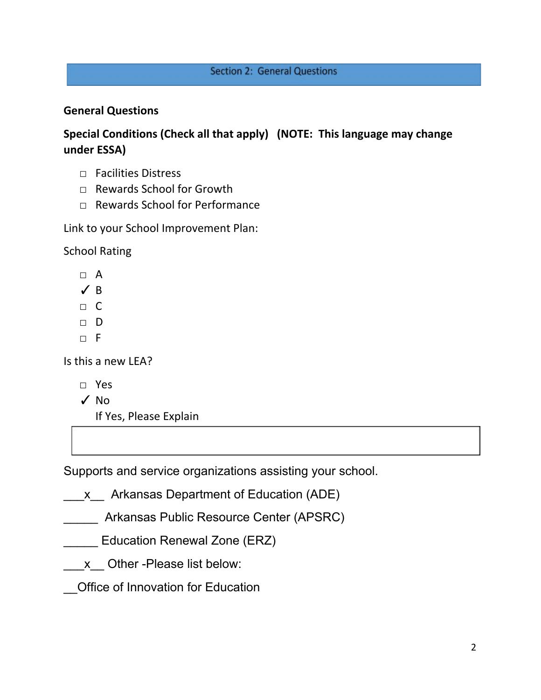# **Section 2: General Questions**

# **General Questions**

**Special Conditions (Check all that apply) (NOTE: This language may change under ESSA)**

- □ Facilities Distress
- □ Rewards School for Growth
- □ Rewards School for Performance

Link to your School Improvement Plan:

School Rating

- □ A
- $\angle$  B
- □ C
- □ D
- $\neg$  F

Is this a new LEA?

- □ Yes
- ✓ No

If Yes, Please Explain

Supports and service organizations assisting your school.

 $x$  Arkansas Department of Education (ADE)

- \_\_\_\_\_ Arkansas Public Resource Center (APSRC)
- \_\_\_\_\_ Education Renewal Zone (ERZ)
- x Other -Please list below:
- \_\_Office of Innovation for Education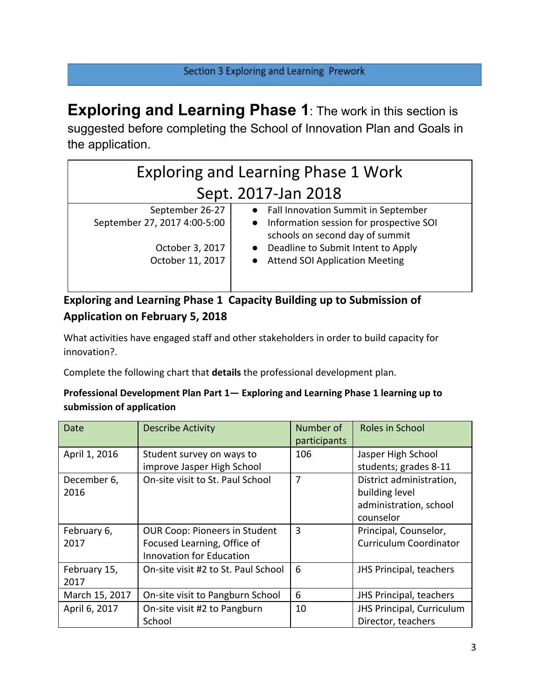# Section 3 Exploring and Learning Prework

**Exploring and Learning Phase 1**: The work in this section is suggested before completing the School of Innovation Plan and Goals in the application.

| <b>Exploring and Learning Phase 1 Work</b>      |                                                                                                                                  |  |
|-------------------------------------------------|----------------------------------------------------------------------------------------------------------------------------------|--|
| Sept. 2017-Jan 2018                             |                                                                                                                                  |  |
| September 26-27<br>September 27, 2017 4:00-5:00 | • Fall Innovation Summit in September<br>Information session for prospective SOI<br>$\bullet$<br>schools on second day of summit |  |
| October 3, 2017<br>October 11, 2017             | Deadline to Submit Intent to Apply<br><b>Attend SOI Application Meeting</b>                                                      |  |

# **Exploring and Learning Phase 1 Capacity Building up to Submission of Application on February 5, 2018**

What activities have engaged staff and other stakeholders in order to build capacity for innovation?.

Complete the following chart that **details** the professional development plan.

## **Professional Development Plan Part 1— Exploring and Learning Phase 1 learning up to submission of application**

| Date                 | <b>Describe Activity</b>                                                                               | Number of<br>participants | Roles in School                                                                   |
|----------------------|--------------------------------------------------------------------------------------------------------|---------------------------|-----------------------------------------------------------------------------------|
| April 1, 2016        | Student survey on ways to<br>improve Jasper High School                                                | 106                       | Jasper High School<br>students; grades 8-11                                       |
| December 6,<br>2016  | On-site visit to St. Paul School                                                                       | 7                         | District administration,<br>building level<br>administration, school<br>counselor |
| February 6,<br>2017  | <b>OUR Coop: Pioneers in Student</b><br>Focused Learning, Office of<br><b>Innovation for Education</b> | 3                         | Principal, Counselor,<br><b>Curriculum Coordinator</b>                            |
| February 15,<br>2017 | On-site visit #2 to St. Paul School                                                                    | 6                         | JHS Principal, teachers                                                           |
| March 15, 2017       | On-site visit to Pangburn School                                                                       | 6                         | JHS Principal, teachers                                                           |
| April 6, 2017        | On-site visit #2 to Pangburn<br>School                                                                 | 10                        | JHS Principal, Curriculum<br>Director, teachers                                   |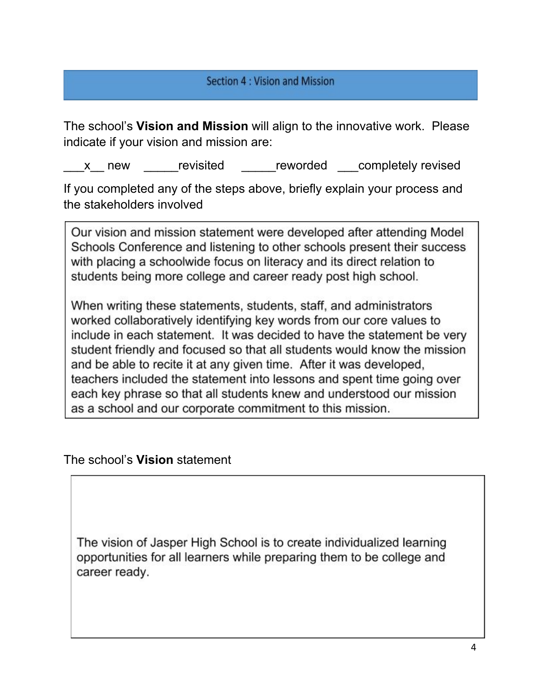# Section 4 : Vision and Mission

The school's **Vision and Mission** will align to the innovative work. Please indicate if your vision and mission are:

x new revisited reworded completely revised

If you completed any of the steps above, briefly explain your process and the stakeholders involved

Our vision and mission statement were developed after attending Model Schools Conference and listening to other schools present their success with placing a schoolwide focus on literacy and its direct relation to students being more college and career ready post high school.

When writing these statements, students, staff, and administrators worked collaboratively identifying key words from our core values to include in each statement. It was decided to have the statement be very student friendly and focused so that all students would know the mission and be able to recite it at any given time. After it was developed, teachers included the statement into lessons and spent time going over each key phrase so that all students knew and understood our mission as a school and our corporate commitment to this mission.

The school's **Vision** statement

The vision of Jasper High School is to create individualized learning opportunities for all learners while preparing them to be college and career ready.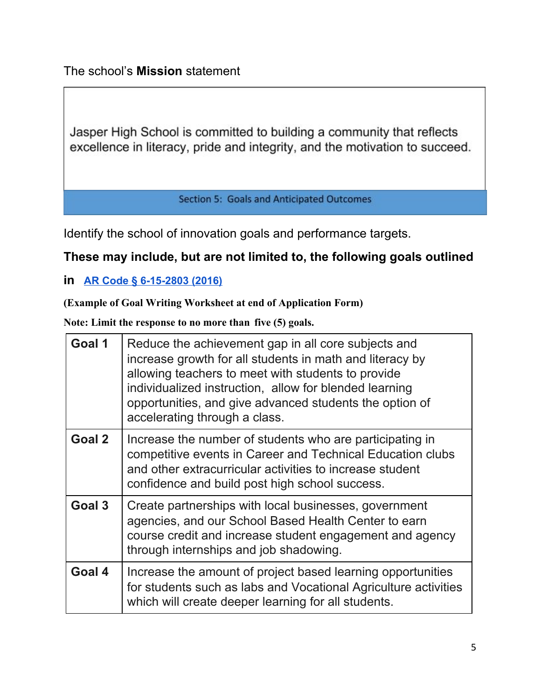The school's **Mission** statement

Jasper High School is committed to building a community that reflects excellence in literacy, pride and integrity, and the motivation to succeed.

**Section 5: Goals and Anticipated Outcomes** 

Identify the school of innovation goals and performance targets.

# **These may include, but are not limited to, the following goals outlined**

**in [AR Code § 6-15-2803 \(2016\)](http://law.justia.com/codes/arkansas/2016/title-6/subtitle-2/chapter-15/subchapter-28/section-6-15-2803)**

**(Example of Goal Writing Worksheet at end of Application Form)**

**Note: Limit the response to no more than five (5) goals.**

| Goal 1 | Reduce the achievement gap in all core subjects and<br>increase growth for all students in math and literacy by<br>allowing teachers to meet with students to provide<br>individualized instruction, allow for blended learning<br>opportunities, and give advanced students the option of<br>accelerating through a class. |
|--------|-----------------------------------------------------------------------------------------------------------------------------------------------------------------------------------------------------------------------------------------------------------------------------------------------------------------------------|
| Goal 2 | Increase the number of students who are participating in<br>competitive events in Career and Technical Education clubs<br>and other extracurricular activities to increase student<br>confidence and build post high school success.                                                                                        |
| Goal 3 | Create partnerships with local businesses, government<br>agencies, and our School Based Health Center to earn<br>course credit and increase student engagement and agency<br>through internships and job shadowing.                                                                                                         |
| Goal 4 | Increase the amount of project based learning opportunities<br>for students such as labs and Vocational Agriculture activities<br>which will create deeper learning for all students.                                                                                                                                       |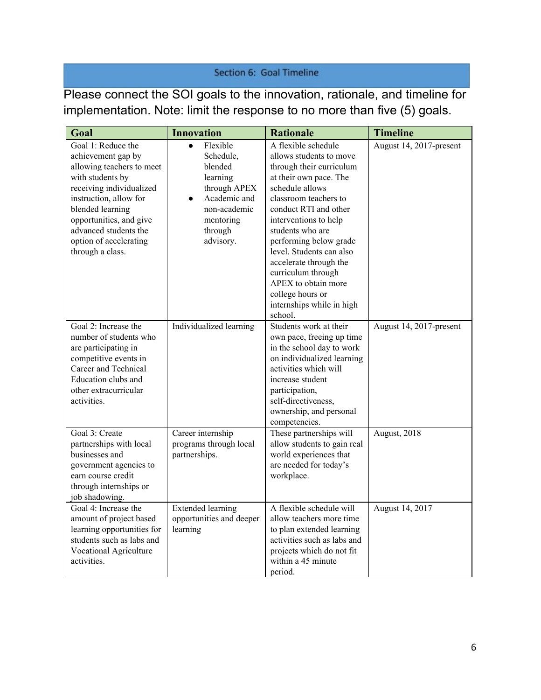# Section 6: Goal Timeline

Please connect the SOI goals to the innovation, rationale, and timeline for implementation. Note: limit the response to no more than five (5) goals.

| Goal                                                                                                                                                                                                                                                                  | <b>Innovation</b>                                                                                                                                           | <b>Rationale</b>                                                                                                                                                                                                                                                                                                                                                                                                | <b>Timeline</b>         |
|-----------------------------------------------------------------------------------------------------------------------------------------------------------------------------------------------------------------------------------------------------------------------|-------------------------------------------------------------------------------------------------------------------------------------------------------------|-----------------------------------------------------------------------------------------------------------------------------------------------------------------------------------------------------------------------------------------------------------------------------------------------------------------------------------------------------------------------------------------------------------------|-------------------------|
| Goal 1: Reduce the<br>achievement gap by<br>allowing teachers to meet<br>with students by<br>receiving individualized<br>instruction, allow for<br>blended learning<br>opportunities, and give<br>advanced students the<br>option of accelerating<br>through a class. | Flexible<br>$\bullet$<br>Schedule,<br>blended<br>learning<br>through APEX<br>Academic and<br>$\bullet$<br>non-academic<br>mentoring<br>through<br>advisory. | A flexible schedule<br>allows students to move<br>through their curriculum<br>at their own pace. The<br>schedule allows<br>classroom teachers to<br>conduct RTI and other<br>interventions to help<br>students who are<br>performing below grade<br>level. Students can also<br>accelerate through the<br>curriculum through<br>APEX to obtain more<br>college hours or<br>internships while in high<br>school. | August 14, 2017-present |
| Goal 2: Increase the<br>number of students who<br>are participating in<br>competitive events in<br>Career and Technical<br>Education clubs and<br>other extracurricular<br>activities.                                                                                | Individualized learning                                                                                                                                     | Students work at their<br>own pace, freeing up time<br>in the school day to work<br>on individualized learning<br>activities which will<br>increase student<br>participation,<br>self-directiveness,<br>ownership, and personal<br>competencies.                                                                                                                                                                | August 14, 2017-present |
| Goal 3: Create<br>partnerships with local<br>businesses and<br>government agencies to<br>earn course credit<br>through internships or<br>job shadowing.                                                                                                               | Career internship<br>programs through local<br>partnerships.                                                                                                | These partnerships will<br>allow students to gain real<br>world experiences that<br>are needed for today's<br>workplace.                                                                                                                                                                                                                                                                                        | August, 2018            |
| Goal 4: Increase the<br>amount of project based<br>learning opportunities for<br>students such as labs and<br>Vocational Agriculture<br>activities.                                                                                                                   | <b>Extended learning</b><br>opportunities and deeper<br>learning                                                                                            | A flexible schedule will<br>allow teachers more time<br>to plan extended learning<br>activities such as labs and<br>projects which do not fit<br>within a 45 minute<br>period.                                                                                                                                                                                                                                  | August 14, 2017         |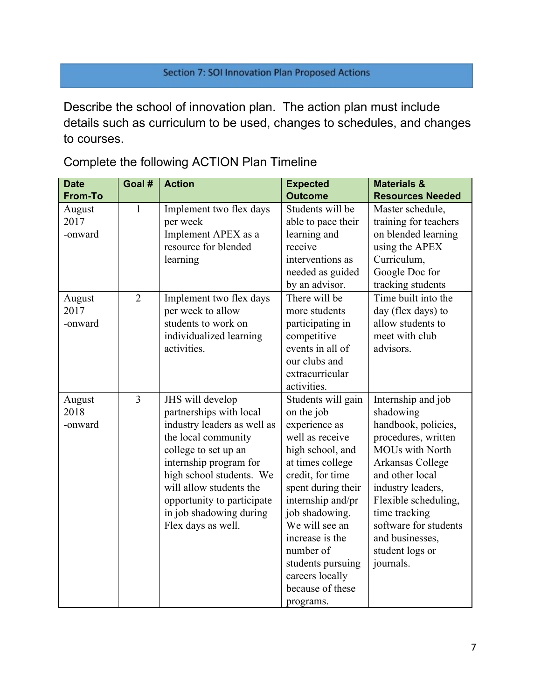# Section 7: SOI Innovation Plan Proposed Actions

Describe the school of innovation plan. The action plan must include details such as curriculum to be used, changes to schedules, and changes to courses.

Complete the following ACTION Plan Timeline

| <b>Date</b>               | Goal #         | <b>Action</b>                                                                                                                                                                                                                                                                             | <b>Expected</b>                                                                                                                                                                                                                                                                                                          | <b>Materials &amp;</b>                                                                                                                                                                                                                                                                   |
|---------------------------|----------------|-------------------------------------------------------------------------------------------------------------------------------------------------------------------------------------------------------------------------------------------------------------------------------------------|--------------------------------------------------------------------------------------------------------------------------------------------------------------------------------------------------------------------------------------------------------------------------------------------------------------------------|------------------------------------------------------------------------------------------------------------------------------------------------------------------------------------------------------------------------------------------------------------------------------------------|
| <b>From-To</b>            |                |                                                                                                                                                                                                                                                                                           | <b>Outcome</b>                                                                                                                                                                                                                                                                                                           | <b>Resources Needed</b>                                                                                                                                                                                                                                                                  |
| August<br>2017<br>-onward | $\mathbf{1}$   | Implement two flex days<br>per week<br>Implement APEX as a<br>resource for blended<br>learning                                                                                                                                                                                            | Students will be<br>able to pace their<br>learning and<br>receive<br>interventions as<br>needed as guided<br>by an advisor.                                                                                                                                                                                              | Master schedule,<br>training for teachers<br>on blended learning<br>using the APEX<br>Curriculum,<br>Google Doc for<br>tracking students                                                                                                                                                 |
| August<br>2017<br>-onward | $\overline{2}$ | Implement two flex days<br>per week to allow<br>students to work on<br>individualized learning<br>activities.                                                                                                                                                                             | There will be<br>more students<br>participating in<br>competitive<br>events in all of<br>our clubs and<br>extracurricular<br>activities.                                                                                                                                                                                 | Time built into the<br>day (flex days) to<br>allow students to<br>meet with club<br>advisors.                                                                                                                                                                                            |
| August<br>2018<br>-onward | $\overline{3}$ | JHS will develop<br>partnerships with local<br>industry leaders as well as<br>the local community<br>college to set up an<br>internship program for<br>high school students. We<br>will allow students the<br>opportunity to participate<br>in job shadowing during<br>Flex days as well. | Students will gain<br>on the job<br>experience as<br>well as receive<br>high school, and<br>at times college<br>credit, for time<br>spent during their<br>internship and/pr<br>job shadowing.<br>We will see an<br>increase is the<br>number of<br>students pursuing<br>careers locally<br>because of these<br>programs. | Internship and job<br>shadowing<br>handbook, policies,<br>procedures, written<br><b>MOUs with North</b><br>Arkansas College<br>and other local<br>industry leaders,<br>Flexible scheduling,<br>time tracking<br>software for students<br>and businesses,<br>student logs or<br>journals. |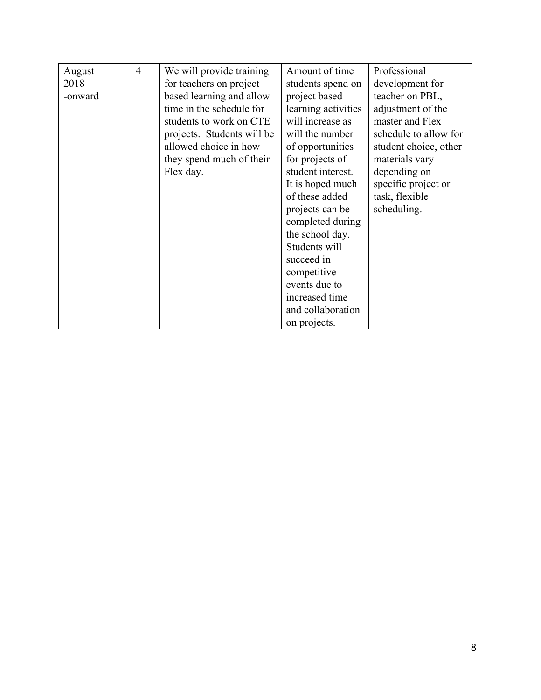| August  | $\overline{4}$ | We will provide training   | Amount of time      | Professional          |
|---------|----------------|----------------------------|---------------------|-----------------------|
| 2018    |                | for teachers on project    | students spend on   | development for       |
| -onward |                | based learning and allow   | project based       | teacher on PBL,       |
|         |                | time in the schedule for   | learning activities | adjustment of the     |
|         |                | students to work on CTE    | will increase as    | master and Flex       |
|         |                | projects. Students will be | will the number     | schedule to allow for |
|         |                | allowed choice in how      | of opportunities    | student choice, other |
|         |                | they spend much of their   | for projects of     | materials vary        |
|         |                | Flex day.                  | student interest.   | depending on          |
|         |                |                            | It is hoped much    | specific project or   |
|         |                |                            | of these added      | task, flexible        |
|         |                |                            | projects can be     | scheduling.           |
|         |                |                            | completed during    |                       |
|         |                |                            | the school day.     |                       |
|         |                |                            | Students will       |                       |
|         |                |                            | succeed in          |                       |
|         |                |                            | competitive         |                       |
|         |                |                            | events due to       |                       |
|         |                |                            | increased time      |                       |
|         |                |                            | and collaboration   |                       |
|         |                |                            | on projects.        |                       |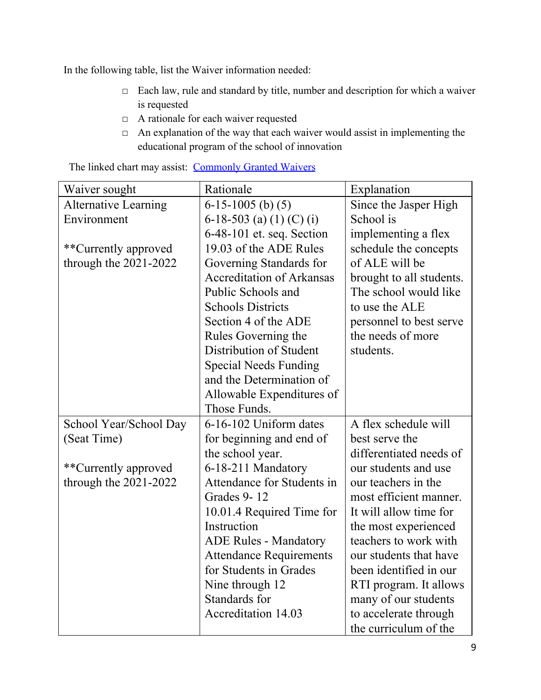In the following table, list the Waiver information needed:

- □ Each law, rule and standard by title, number and description for which a waiver is requested
- □ A rationale for each waiver requested
- $\Box$  An explanation of the way that each waiver would assist in implementing the educational program of the school of innovation

| Waiver sought               | Rationale                        | Explanation              |
|-----------------------------|----------------------------------|--------------------------|
| <b>Alternative Learning</b> | $6-15-1005$ (b) (5)              | Since the Jasper High    |
| Environment                 | 6-18-503 (a) (1) (C) (i)         | School is                |
|                             | $6-48-101$ et. seq. Section      | implementing a flex      |
| **Currently approved        | 19.03 of the ADE Rules           | schedule the concepts    |
| through the 2021-2022       | Governing Standards for          | of ALE will be           |
|                             | <b>Accreditation of Arkansas</b> | brought to all students. |
|                             | Public Schools and               | The school would like    |
|                             | <b>Schools Districts</b>         | to use the ALE           |
|                             | Section 4 of the ADE             | personnel to best serve  |
|                             | Rules Governing the              | the needs of more        |
|                             | Distribution of Student          | students.                |
|                             | <b>Special Needs Funding</b>     |                          |
|                             | and the Determination of         |                          |
|                             | Allowable Expenditures of        |                          |
|                             | Those Funds.                     |                          |
| School Year/School Day      | 6-16-102 Uniform dates           | A flex schedule will     |
| (Seat Time)                 | for beginning and end of         | best serve the           |
|                             | the school year.                 | differentiated needs of  |
| **Currently approved        | 6-18-211 Mandatory               | our students and use     |
| through the $2021-2022$     | Attendance for Students in       | our teachers in the      |
|                             | Grades 9-12                      | most efficient manner.   |
|                             | 10.01.4 Required Time for        | It will allow time for   |
|                             | Instruction                      | the most experienced     |
|                             | <b>ADE Rules - Mandatory</b>     | teachers to work with    |
|                             | <b>Attendance Requirements</b>   | our students that have   |
|                             | for Students in Grades           | been identified in our   |
|                             | Nine through 12                  | RTI program. It allows   |
|                             | Standards for                    | many of our students     |
|                             | <b>Accreditation 14.03</b>       | to accelerate through    |
|                             |                                  | the curriculum of the    |

The linked chart may assist: [Commonly Granted Waivers](http://www.arkansased.gov/public/userfiles/Learning_Services/Charter%20and%20Home%20School/Charter%20School-Division%20of%20Learning%20Services/Applications/Waiver_Document.pdf)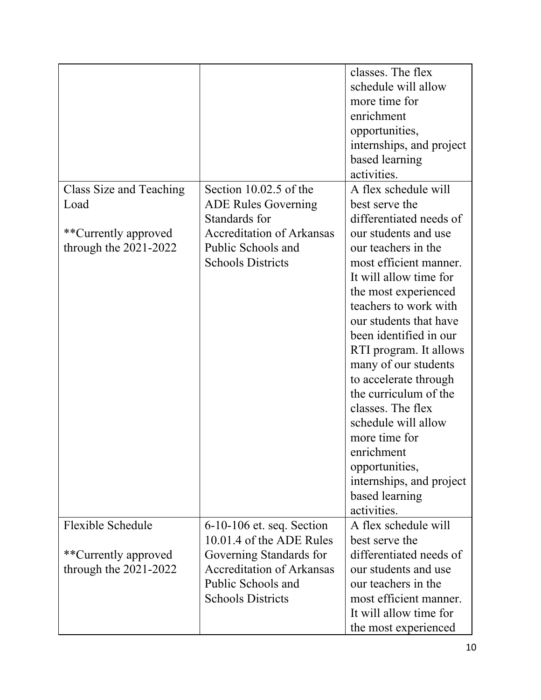|                         |                                                             | classes. The flex<br>schedule will allow<br>more time for<br>enrichment<br>opportunities,<br>internships, and project<br>based learning<br>activities. |
|-------------------------|-------------------------------------------------------------|--------------------------------------------------------------------------------------------------------------------------------------------------------|
| Class Size and Teaching | Section $10.02.5$ of the                                    | A flex schedule will                                                                                                                                   |
| Load                    | <b>ADE Rules Governing</b>                                  | best serve the                                                                                                                                         |
|                         | Standards for                                               | differentiated needs of                                                                                                                                |
| **Currently approved    | <b>Accreditation of Arkansas</b>                            | our students and use                                                                                                                                   |
| through the $2021-2022$ | Public Schools and                                          | our teachers in the                                                                                                                                    |
|                         | <b>Schools Districts</b>                                    | most efficient manner.                                                                                                                                 |
|                         |                                                             | It will allow time for                                                                                                                                 |
|                         |                                                             | the most experienced<br>teachers to work with                                                                                                          |
|                         |                                                             | our students that have                                                                                                                                 |
|                         |                                                             | been identified in our                                                                                                                                 |
|                         |                                                             | RTI program. It allows                                                                                                                                 |
|                         |                                                             | many of our students                                                                                                                                   |
|                         |                                                             | to accelerate through                                                                                                                                  |
|                         |                                                             | the curriculum of the                                                                                                                                  |
|                         |                                                             | classes. The flex                                                                                                                                      |
|                         |                                                             | schedule will allow                                                                                                                                    |
|                         |                                                             | more time for                                                                                                                                          |
|                         |                                                             | enrichment                                                                                                                                             |
|                         |                                                             | opportunities,                                                                                                                                         |
|                         |                                                             | internships, and project                                                                                                                               |
|                         |                                                             | based learning                                                                                                                                         |
|                         |                                                             | activities.                                                                                                                                            |
| Flexible Schedule       | $6-10-106$ et. seq. Section                                 | A flex schedule will                                                                                                                                   |
|                         | 10.01.4 of the ADE Rules                                    | best serve the                                                                                                                                         |
| **Currently approved    | Governing Standards for<br><b>Accreditation of Arkansas</b> | differentiated needs of                                                                                                                                |
| through the $2021-2022$ | Public Schools and                                          | our students and use<br>our teachers in the                                                                                                            |
|                         | <b>Schools Districts</b>                                    | most efficient manner.                                                                                                                                 |
|                         |                                                             | It will allow time for                                                                                                                                 |
|                         |                                                             | the most experienced                                                                                                                                   |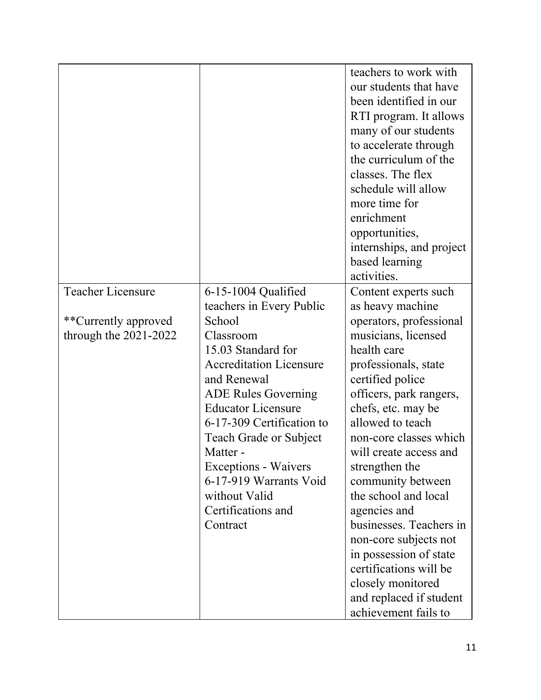|                          |                                                         | teachers to work with<br>our students that have<br>been identified in our<br>RTI program. It allows<br>many of our students<br>to accelerate through<br>the curriculum of the<br>classes. The flex<br>schedule will allow<br>more time for<br>enrichment<br>opportunities,<br>internships, and project<br>based learning<br>activities. |
|--------------------------|---------------------------------------------------------|-----------------------------------------------------------------------------------------------------------------------------------------------------------------------------------------------------------------------------------------------------------------------------------------------------------------------------------------|
| <b>Teacher Licensure</b> | $6-15-1004$ Qualified                                   | Content experts such                                                                                                                                                                                                                                                                                                                    |
|                          | teachers in Every Public<br>School                      | as heavy machine                                                                                                                                                                                                                                                                                                                        |
| **Currently approved     | Classroom                                               | operators, professional                                                                                                                                                                                                                                                                                                                 |
| through the $2021-2022$  | 15.03 Standard for                                      | musicians, licensed<br>health care                                                                                                                                                                                                                                                                                                      |
|                          | <b>Accreditation Licensure</b>                          |                                                                                                                                                                                                                                                                                                                                         |
|                          | and Renewal                                             | professionals, state<br>certified police                                                                                                                                                                                                                                                                                                |
|                          |                                                         |                                                                                                                                                                                                                                                                                                                                         |
|                          | <b>ADE Rules Governing</b><br><b>Educator Licensure</b> | officers, park rangers,<br>chefs, etc. may be                                                                                                                                                                                                                                                                                           |
|                          | 6-17-309 Certification to                               | allowed to teach                                                                                                                                                                                                                                                                                                                        |
|                          | <b>Teach Grade or Subject</b>                           | non-core classes which                                                                                                                                                                                                                                                                                                                  |
|                          | Matter -                                                | will create access and                                                                                                                                                                                                                                                                                                                  |
|                          | Exceptions - Waivers                                    | strengthen the                                                                                                                                                                                                                                                                                                                          |
|                          | 6-17-919 Warrants Void                                  | community between                                                                                                                                                                                                                                                                                                                       |
|                          | without Valid                                           | the school and local                                                                                                                                                                                                                                                                                                                    |
|                          | Certifications and                                      | agencies and                                                                                                                                                                                                                                                                                                                            |
|                          | Contract                                                | businesses. Teachers in                                                                                                                                                                                                                                                                                                                 |
|                          |                                                         | non-core subjects not                                                                                                                                                                                                                                                                                                                   |
|                          |                                                         | in possession of state                                                                                                                                                                                                                                                                                                                  |
|                          |                                                         | certifications will be                                                                                                                                                                                                                                                                                                                  |
|                          |                                                         | closely monitored                                                                                                                                                                                                                                                                                                                       |
|                          |                                                         | and replaced if student                                                                                                                                                                                                                                                                                                                 |
|                          |                                                         | achievement fails to                                                                                                                                                                                                                                                                                                                    |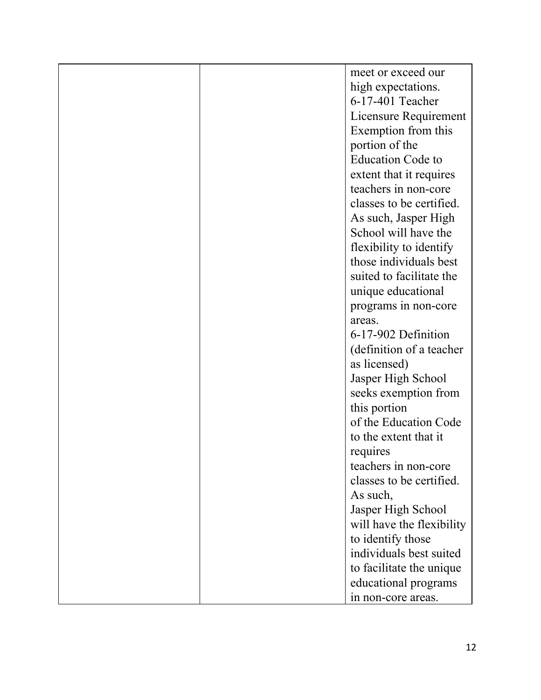|  | meet or exceed our        |
|--|---------------------------|
|  | high expectations.        |
|  | 6-17-401 Teacher          |
|  | Licensure Requirement     |
|  | Exemption from this       |
|  | portion of the            |
|  | <b>Education Code to</b>  |
|  | extent that it requires   |
|  | teachers in non-core      |
|  | classes to be certified.  |
|  | As such, Jasper High      |
|  | School will have the      |
|  | flexibility to identify   |
|  | those individuals best    |
|  | suited to facilitate the  |
|  | unique educational        |
|  | programs in non-core      |
|  | areas.                    |
|  | 6-17-902 Definition       |
|  | (definition of a teacher  |
|  | as licensed)              |
|  | Jasper High School        |
|  | seeks exemption from      |
|  | this portion              |
|  | of the Education Code     |
|  | to the extent that it     |
|  | requires                  |
|  | teachers in non-core      |
|  | classes to be certified.  |
|  | As such,                  |
|  | Jasper High School        |
|  | will have the flexibility |
|  | to identify those         |
|  | individuals best suited   |
|  | to facilitate the unique  |
|  | educational programs      |
|  | in non-core areas.        |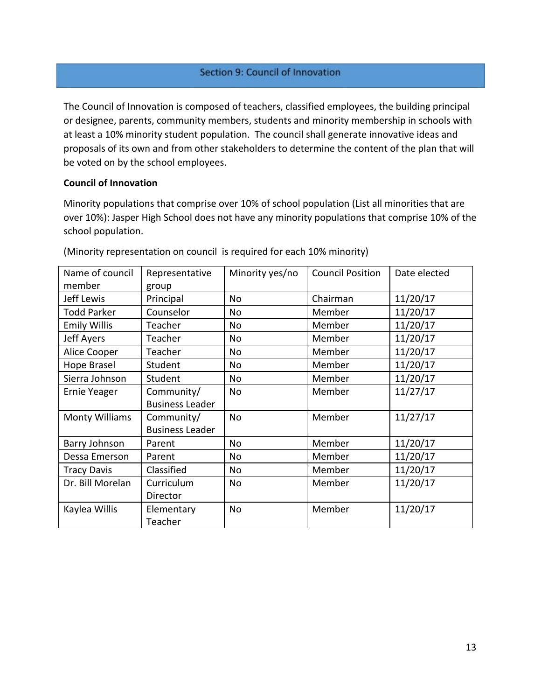#### Section 9: Council of Innovation

The Council of Innovation is composed of teachers, classified employees, the building principal or designee, parents, community members, students and minority membership in schools with at least a 10% minority student population. The council shall generate innovative ideas and proposals of its own and from other stakeholders to determine the content of the plan that will be voted on by the school employees.

#### **Council of Innovation**

Minority populations that comprise over 10% of school population (List all minorities that are over 10%): Jasper High School does not have any minority populations that comprise 10% of the school population.

| Name of council<br>member | Representative<br>group | Minority yes/no | <b>Council Position</b> | Date elected |
|---------------------------|-------------------------|-----------------|-------------------------|--------------|
| Jeff Lewis                | Principal               | No              | Chairman                | 11/20/17     |
| <b>Todd Parker</b>        | Counselor               | No              | Member                  | 11/20/17     |
| <b>Emily Willis</b>       | Teacher                 | No              | Member                  | 11/20/17     |
| <b>Jeff Ayers</b>         | Teacher                 | No              | Member                  | 11/20/17     |
| Alice Cooper              | Teacher                 | No              | Member                  | 11/20/17     |
| Hope Brasel               | Student                 | No              | Member                  | 11/20/17     |
| Sierra Johnson            | Student                 | No              | Member                  | 11/20/17     |
| <b>Ernie Yeager</b>       | Community/              | No              | Member                  | 11/27/17     |
|                           | <b>Business Leader</b>  |                 |                         |              |
| <b>Monty Williams</b>     | Community/              | <b>No</b>       | Member                  | 11/27/17     |
|                           | <b>Business Leader</b>  |                 |                         |              |
| Barry Johnson             | Parent                  | No              | Member                  | 11/20/17     |
| Dessa Emerson             | Parent                  | No              | Member                  | 11/20/17     |
| <b>Tracy Davis</b>        | Classified              | No              | Member                  | 11/20/17     |
| Dr. Bill Morelan          | Curriculum              | No              | Member                  | 11/20/17     |
|                           | Director                |                 |                         |              |
| Kaylea Willis             | Elementary              | No              | Member                  | 11/20/17     |
|                           | Teacher                 |                 |                         |              |

(Minority representation on council is required for each 10% minority)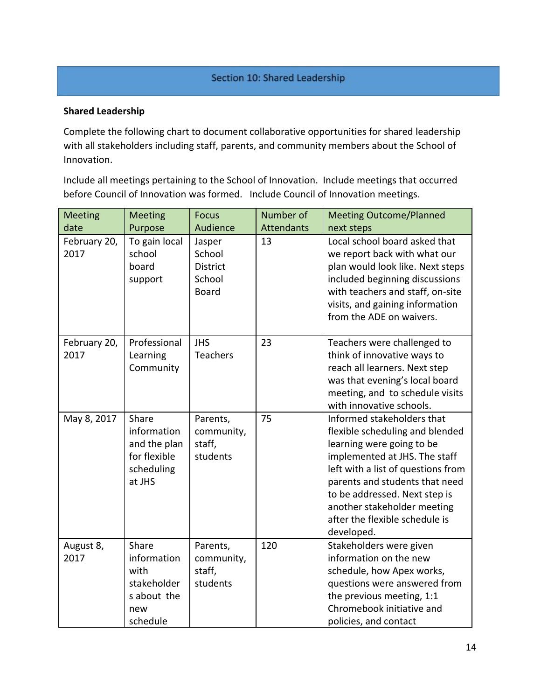#### Section 10: Shared Leadership

#### **Shared Leadership**

Complete the following chart to document collaborative opportunities for shared leadership with all stakeholders including staff, parents, and community members about the School of Innovation.

Include all meetings pertaining to the School of Innovation. Include meetings that occurred before Council of Innovation was formed. Include Council of Innovation meetings.

| <b>Meeting</b>       | <b>Meeting</b>                                                                | <b>Focus</b>                                                  | Number of         | <b>Meeting Outcome/Planned</b>                                                                                                                                                                                                                                                                                      |
|----------------------|-------------------------------------------------------------------------------|---------------------------------------------------------------|-------------------|---------------------------------------------------------------------------------------------------------------------------------------------------------------------------------------------------------------------------------------------------------------------------------------------------------------------|
| date                 | Purpose                                                                       | Audience                                                      | <b>Attendants</b> | next steps                                                                                                                                                                                                                                                                                                          |
| February 20,<br>2017 | To gain local<br>school<br>board<br>support                                   | Jasper<br>School<br><b>District</b><br>School<br><b>Board</b> | 13                | Local school board asked that<br>we report back with what our<br>plan would look like. Next steps<br>included beginning discussions<br>with teachers and staff, on-site<br>visits, and gaining information<br>from the ADE on waivers.                                                                              |
| February 20,<br>2017 | Professional<br>Learning<br>Community                                         | <b>JHS</b><br><b>Teachers</b>                                 | 23                | Teachers were challenged to<br>think of innovative ways to<br>reach all learners. Next step<br>was that evening's local board<br>meeting, and to schedule visits<br>with innovative schools.                                                                                                                        |
| May 8, 2017          | Share<br>information<br>and the plan<br>for flexible<br>scheduling<br>at JHS  | Parents,<br>community,<br>staff,<br>students                  | 75                | Informed stakeholders that<br>flexible scheduling and blended<br>learning were going to be<br>implemented at JHS. The staff<br>left with a list of questions from<br>parents and students that need<br>to be addressed. Next step is<br>another stakeholder meeting<br>after the flexible schedule is<br>developed. |
| August 8,<br>2017    | Share<br>information<br>with<br>stakeholder<br>s about the<br>new<br>schedule | Parents,<br>community,<br>staff,<br>students                  | 120               | Stakeholders were given<br>information on the new<br>schedule, how Apex works,<br>questions were answered from<br>the previous meeting, 1:1<br>Chromebook initiative and<br>policies, and contact                                                                                                                   |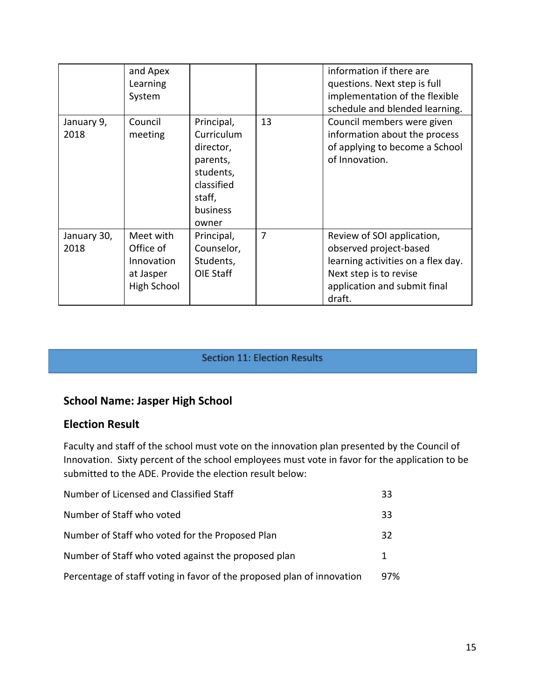|                     | and Apex<br>Learning<br>System                                   |                                                                                                             |    | information if there are<br>questions. Next step is full<br>implementation of the flexible<br>schedule and blended learning.                                   |
|---------------------|------------------------------------------------------------------|-------------------------------------------------------------------------------------------------------------|----|----------------------------------------------------------------------------------------------------------------------------------------------------------------|
| January 9,<br>2018  | Council<br>meeting                                               | Principal,<br>Curriculum<br>director,<br>parents,<br>students,<br>classified<br>staff,<br>business<br>owner | 13 | Council members were given<br>information about the process<br>of applying to become a School<br>of Innovation.                                                |
| January 30,<br>2018 | Meet with<br>Office of<br>Innovation<br>at Jasper<br>High School | Principal,<br>Counselor,<br>Students,<br>OIE Staff                                                          | 7  | Review of SOI application,<br>observed project-based<br>learning activities on a flex day.<br>Next step is to revise<br>application and submit final<br>draft. |

#### **Section 11: Election Results**

# **School Name: Jasper High School**

## **Election Result**

Faculty and staff of the school must vote on the innovation plan presented by the Council of Innovation. Sixty percent of the school employees must vote in favor for the application to be submitted to the ADE. Provide the election result below:

| Number of Licensed and Classified Staff                                | 33  |
|------------------------------------------------------------------------|-----|
| Number of Staff who voted                                              | 33  |
| Number of Staff who voted for the Proposed Plan                        | 32  |
| Number of Staff who voted against the proposed plan                    | 1   |
| Percentage of staff voting in favor of the proposed plan of innovation | 97% |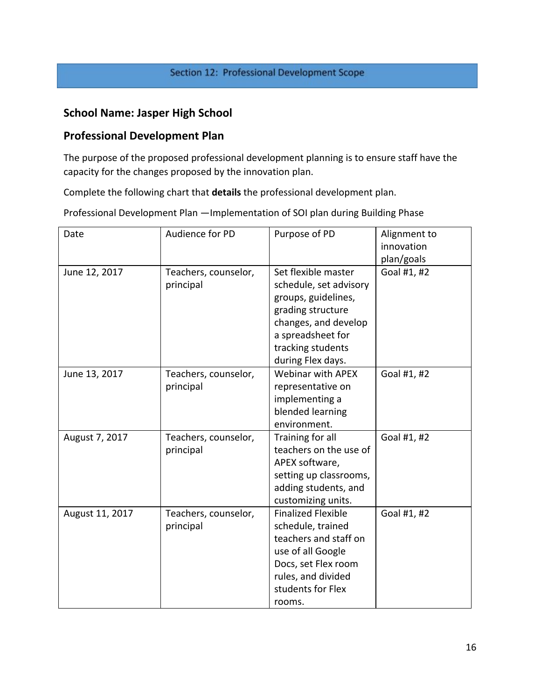## Section 12: Professional Development Scope

# **School Name: Jasper High School**

## **Professional Development Plan**

The purpose of the proposed professional development planning is to ensure staff have the capacity for the changes proposed by the innovation plan.

Complete the following chart that **details** the professional development plan.

Professional Development Plan —Implementation of SOI plan during Building Phase

| Date            | Audience for PD                   | Purpose of PD                                                                                                                                                                    | Alignment to<br>innovation<br>plan/goals |
|-----------------|-----------------------------------|----------------------------------------------------------------------------------------------------------------------------------------------------------------------------------|------------------------------------------|
| June 12, 2017   | Teachers, counselor,<br>principal | Set flexible master<br>schedule, set advisory<br>groups, guidelines,<br>grading structure<br>changes, and develop<br>a spreadsheet for<br>tracking students<br>during Flex days. | Goal #1, #2                              |
| June 13, 2017   | Teachers, counselor,<br>principal | <b>Webinar with APEX</b><br>representative on<br>implementing a<br>blended learning<br>environment.                                                                              | Goal #1, #2                              |
| August 7, 2017  | Teachers, counselor,<br>principal | Training for all<br>teachers on the use of<br>APEX software,<br>setting up classrooms,<br>adding students, and<br>customizing units.                                             | Goal #1, #2                              |
| August 11, 2017 | Teachers, counselor,<br>principal | <b>Finalized Flexible</b><br>schedule, trained<br>teachers and staff on<br>use of all Google<br>Docs, set Flex room<br>rules, and divided<br>students for Flex<br>rooms.         | Goal #1, #2                              |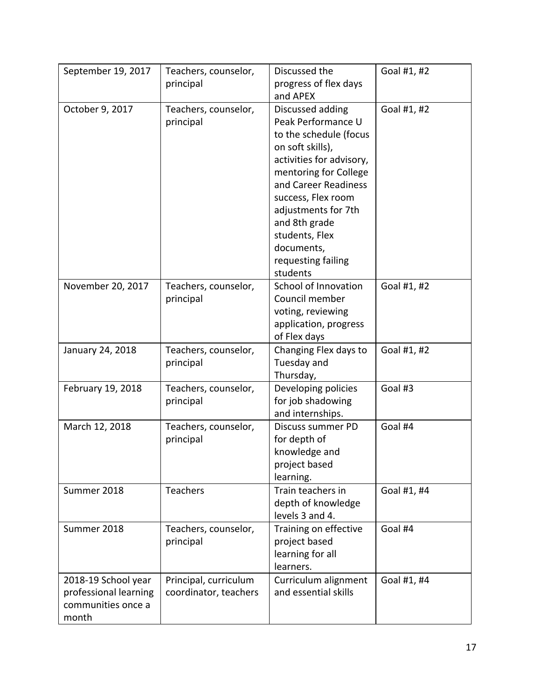| September 19, 2017                                                          | Teachers, counselor,<br>principal              | Discussed the<br>progress of flex days<br>and APEX                                                                                                                                                                                                                                                | Goal #1, #2 |
|-----------------------------------------------------------------------------|------------------------------------------------|---------------------------------------------------------------------------------------------------------------------------------------------------------------------------------------------------------------------------------------------------------------------------------------------------|-------------|
| October 9, 2017                                                             | Teachers, counselor,<br>principal              | Discussed adding<br>Peak Performance U<br>to the schedule (focus<br>on soft skills),<br>activities for advisory,<br>mentoring for College<br>and Career Readiness<br>success, Flex room<br>adjustments for 7th<br>and 8th grade<br>students, Flex<br>documents,<br>requesting failing<br>students | Goal #1, #2 |
| November 20, 2017                                                           | Teachers, counselor,<br>principal              | School of Innovation<br>Council member<br>voting, reviewing<br>application, progress<br>of Flex days                                                                                                                                                                                              | Goal #1, #2 |
| January 24, 2018                                                            | Teachers, counselor,<br>principal              | Changing Flex days to<br>Tuesday and<br>Thursday,                                                                                                                                                                                                                                                 | Goal #1, #2 |
| February 19, 2018                                                           | Teachers, counselor,<br>principal              | Developing policies<br>for job shadowing<br>and internships.                                                                                                                                                                                                                                      | Goal #3     |
| March 12, 2018                                                              | Teachers, counselor,<br>principal              | Discuss summer PD<br>for depth of<br>knowledge and<br>project based<br>learning.                                                                                                                                                                                                                  | Goal #4     |
| Summer 2018                                                                 | Teachers                                       | Train teachers in<br>depth of knowledge<br>levels 3 and 4.                                                                                                                                                                                                                                        | Goal #1, #4 |
| Summer 2018                                                                 | Teachers, counselor,<br>principal              | Training on effective<br>project based<br>learning for all<br>learners.                                                                                                                                                                                                                           | Goal #4     |
| 2018-19 School year<br>professional learning<br>communities once a<br>month | Principal, curriculum<br>coordinator, teachers | Curriculum alignment<br>and essential skills                                                                                                                                                                                                                                                      | Goal #1, #4 |